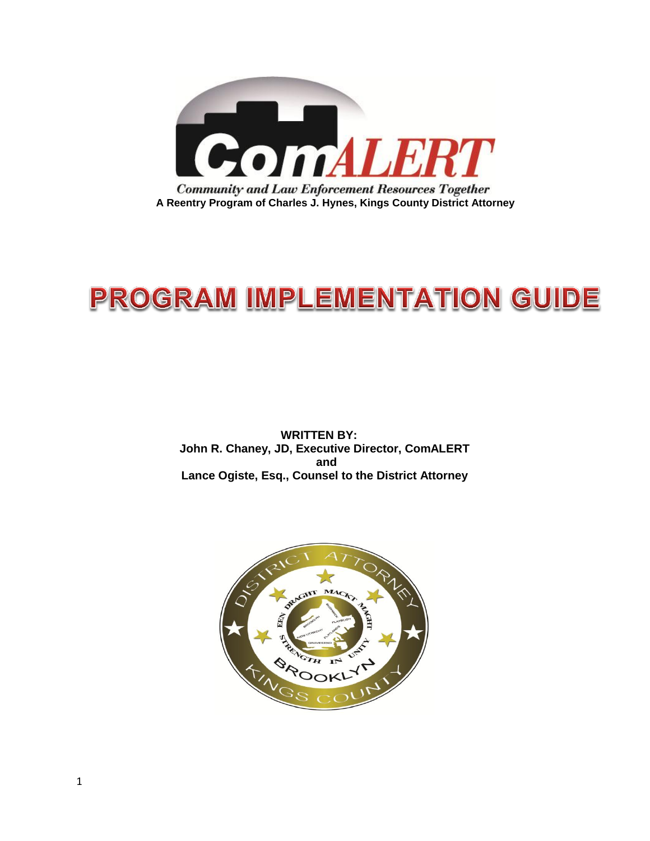

# **PROGRAM IMPLEMENTATION GUIDE**

 **WRITTEN BY: John R. Chaney, JD, Executive Director, ComALERT and Lance Ogiste, Esq., Counsel to the District Attorney**

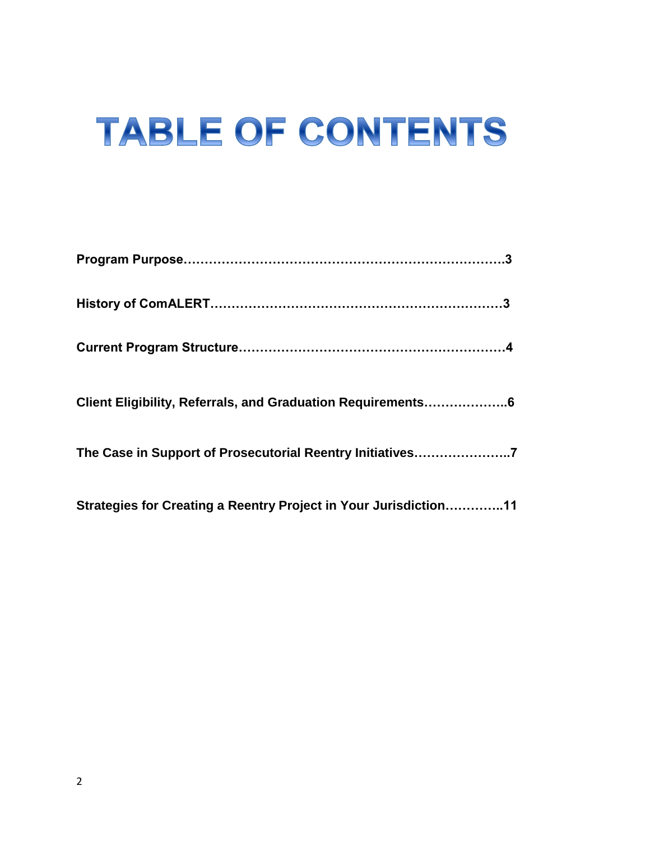# **TABLE OF CONTENTS**

| Client Eligibility, Referrals, and Graduation Requirements6      |  |
|------------------------------------------------------------------|--|
| The Case in Support of Prosecutorial Reentry Initiatives7        |  |
| Strategies for Creating a Reentry Project in Your Jurisdiction11 |  |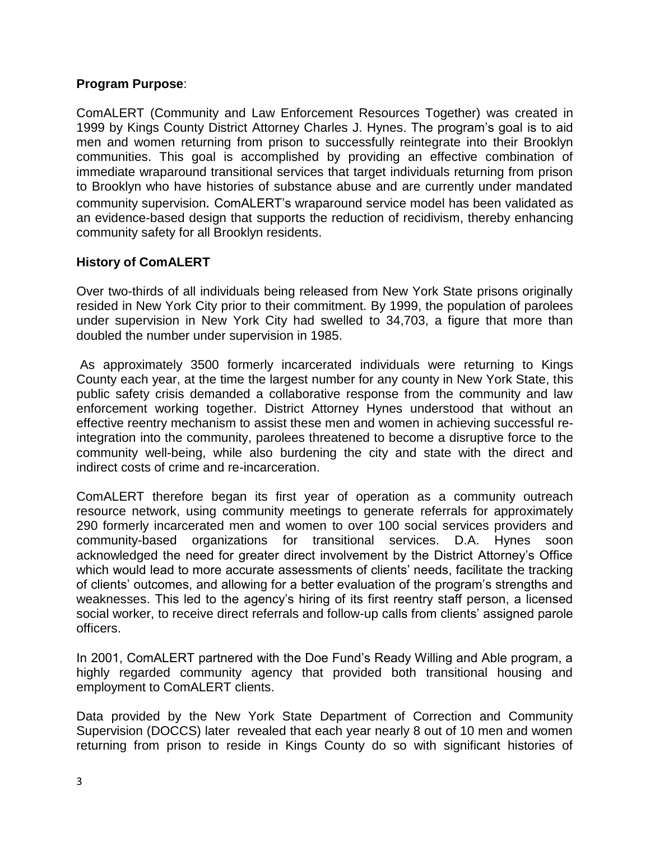#### **Program Purpose**:

ComALERT (Community and Law Enforcement Resources Together) was created in 1999 by Kings County District Attorney Charles J. Hynes. The program's goal is to aid men and women returning from prison to successfully reintegrate into their Brooklyn communities. This goal is accomplished by providing an effective combination of immediate wraparound transitional services that target individuals returning from prison to Brooklyn who have histories of substance abuse and are currently under mandated community supervision*.* ComALERT's wraparound service model has been validated as an evidence-based design that supports the reduction of recidivism, thereby enhancing community safety for all Brooklyn residents.

## **History of ComALERT**

Over two-thirds of all individuals being released from New York State prisons originally resided in New York City prior to their commitment. By 1999, the population of parolees under supervision in New York City had swelled to 34,703, a figure that more than doubled the number under supervision in 1985.

As approximately 3500 formerly incarcerated individuals were returning to Kings County each year, at the time the largest number for any county in New York State, this public safety crisis demanded a collaborative response from the community and law enforcement working together. District Attorney Hynes understood that without an effective reentry mechanism to assist these men and women in achieving successful reintegration into the community, parolees threatened to become a disruptive force to the community well-being, while also burdening the city and state with the direct and indirect costs of crime and re-incarceration.

ComALERT therefore began its first year of operation as a community outreach resource network, using community meetings to generate referrals for approximately 290 formerly incarcerated men and women to over 100 social services providers and community-based organizations for transitional services. D.A. Hynes soon acknowledged the need for greater direct involvement by the District Attorney's Office which would lead to more accurate assessments of clients' needs, facilitate the tracking of clients' outcomes, and allowing for a better evaluation of the program's strengths and weaknesses. This led to the agency's hiring of its first reentry staff person, a licensed social worker, to receive direct referrals and follow-up calls from clients' assigned parole officers.

In 2001, ComALERT partnered with the Doe Fund's Ready Willing and Able program, a highly regarded community agency that provided both transitional housing and employment to ComALERT clients.

Data provided by the New York State Department of Correction and Community Supervision (DOCCS) later revealed that each year nearly 8 out of 10 men and women returning from prison to reside in Kings County do so with significant histories of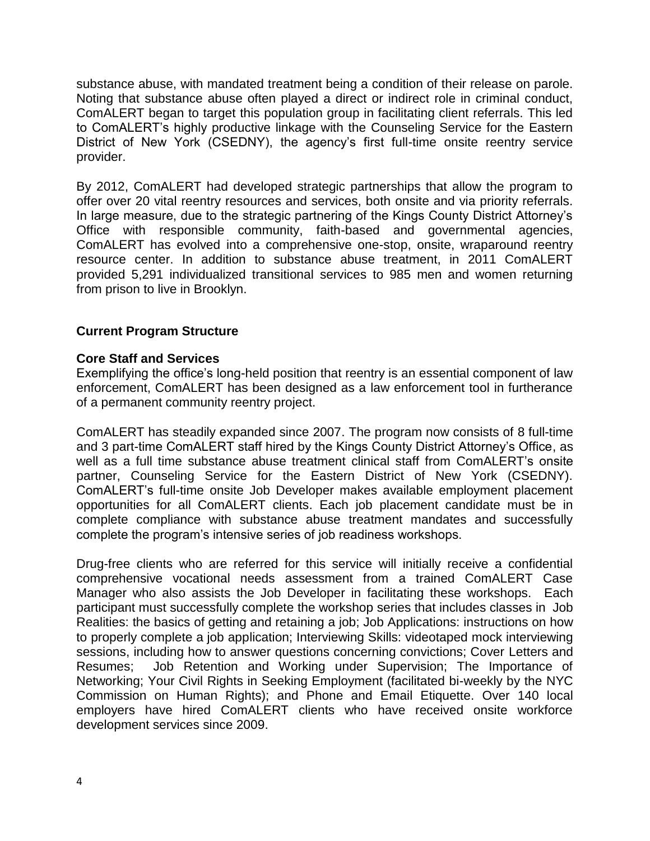substance abuse, with mandated treatment being a condition of their release on parole. Noting that substance abuse often played a direct or indirect role in criminal conduct, ComALERT began to target this population group in facilitating client referrals. This led to ComALERT's highly productive linkage with the Counseling Service for the Eastern District of New York (CSEDNY), the agency's first full-time onsite reentry service provider.

By 2012, ComALERT had developed strategic partnerships that allow the program to offer over 20 vital reentry resources and services, both onsite and via priority referrals. In large measure, due to the strategic partnering of the Kings County District Attorney's Office with responsible community, faith-based and governmental agencies, ComALERT has evolved into a comprehensive one-stop, onsite, wraparound reentry resource center. In addition to substance abuse treatment, in 2011 ComALERT provided 5,291 individualized transitional services to 985 men and women returning from prison to live in Brooklyn.

#### **Current Program Structure**

#### **Core Staff and Services**

Exemplifying the office's long-held position that reentry is an essential component of law enforcement, ComALERT has been designed as a law enforcement tool in furtherance of a permanent community reentry project.

ComALERT has steadily expanded since 2007. The program now consists of 8 full-time and 3 part-time ComALERT staff hired by the Kings County District Attorney's Office, as well as a full time substance abuse treatment clinical staff from ComALERT's onsite partner, Counseling Service for the Eastern District of New York (CSEDNY). ComALERT's full-time onsite Job Developer makes available employment placement opportunities for all ComALERT clients. Each job placement candidate must be in complete compliance with substance abuse treatment mandates and successfully complete the program's intensive series of job readiness workshops.

Drug-free clients who are referred for this service will initially receive a confidential comprehensive vocational needs assessment from a trained ComALERT Case Manager who also assists the Job Developer in facilitating these workshops. Each participant must successfully complete the workshop series that includes classes in Job Realities: the basics of getting and retaining a job; Job Applications: instructions on how to properly complete a job application; Interviewing Skills: videotaped mock interviewing sessions, including how to answer questions concerning convictions; Cover Letters and Resumes; Job Retention and Working under Supervision; The Importance of Networking; Your Civil Rights in Seeking Employment (facilitated bi-weekly by the NYC Commission on Human Rights); and Phone and Email Etiquette. Over 140 local employers have hired ComALERT clients who have received onsite workforce development services since 2009.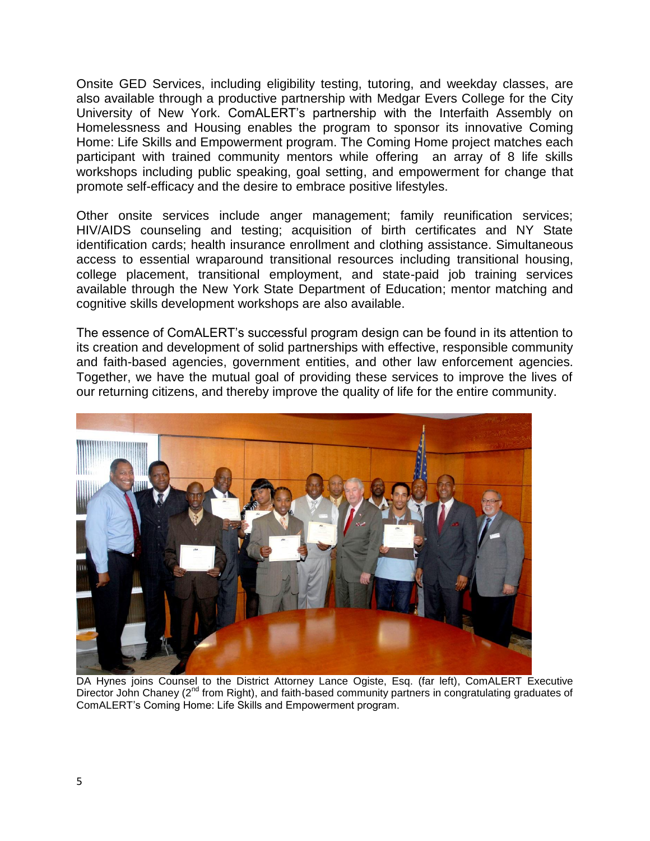Onsite GED Services, including eligibility testing, tutoring, and weekday classes, are also available through a productive partnership with Medgar Evers College for the City University of New York. ComALERT's partnership with the Interfaith Assembly on Homelessness and Housing enables the program to sponsor its innovative Coming Home: Life Skills and Empowerment program. The Coming Home project matches each participant with trained community mentors while offering an array of 8 life skills workshops including public speaking, goal setting, and empowerment for change that promote self-efficacy and the desire to embrace positive lifestyles.

Other onsite services include anger management; family reunification services; HIV/AIDS counseling and testing; acquisition of birth certificates and NY State identification cards; health insurance enrollment and clothing assistance. Simultaneous access to essential wraparound transitional resources including transitional housing, college placement, transitional employment, and state-paid job training services available through the New York State Department of Education; mentor matching and cognitive skills development workshops are also available.

The essence of ComALERT's successful program design can be found in its attention to its creation and development of solid partnerships with effective, responsible community and faith-based agencies, government entities, and other law enforcement agencies. Together, we have the mutual goal of providing these services to improve the lives of our returning citizens, and thereby improve the quality of life for the entire community.



DA Hynes joins Counsel to the District Attorney Lance Ogiste, Esq. (far left), ComALERT Executive Director John Chaney (2<sup>nd</sup> from Right), and faith-based community partners in congratulating graduates of ComALERT's Coming Home: Life Skills and Empowerment program.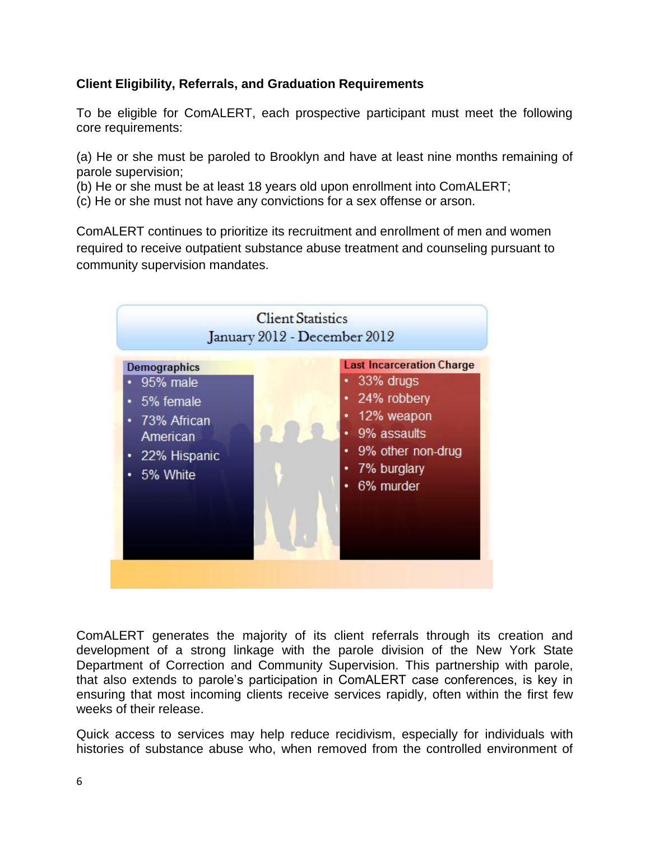# **Client Eligibility, Referrals, and Graduation Requirements**

To be eligible for ComALERT, each prospective participant must meet the following core requirements:

(a) He or she must be paroled to Brooklyn and have at least nine months remaining of parole supervision;

(b) He or she must be at least 18 years old upon enrollment into ComALERT;

(c) He or she must not have any convictions for a sex offense or arson.

ComALERT continues to prioritize its recruitment and enrollment of men and women required to receive outpatient substance abuse treatment and counseling pursuant to community supervision mandates.



ComALERT generates the majority of its client referrals through its creation and development of a strong linkage with the parole division of the New York State Department of Correction and Community Supervision. This partnership with parole, that also extends to parole's participation in ComALERT case conferences, is key in ensuring that most incoming clients receive services rapidly, often within the first few weeks of their release.

Quick access to services may help reduce recidivism, especially for individuals with histories of substance abuse who, when removed from the controlled environment of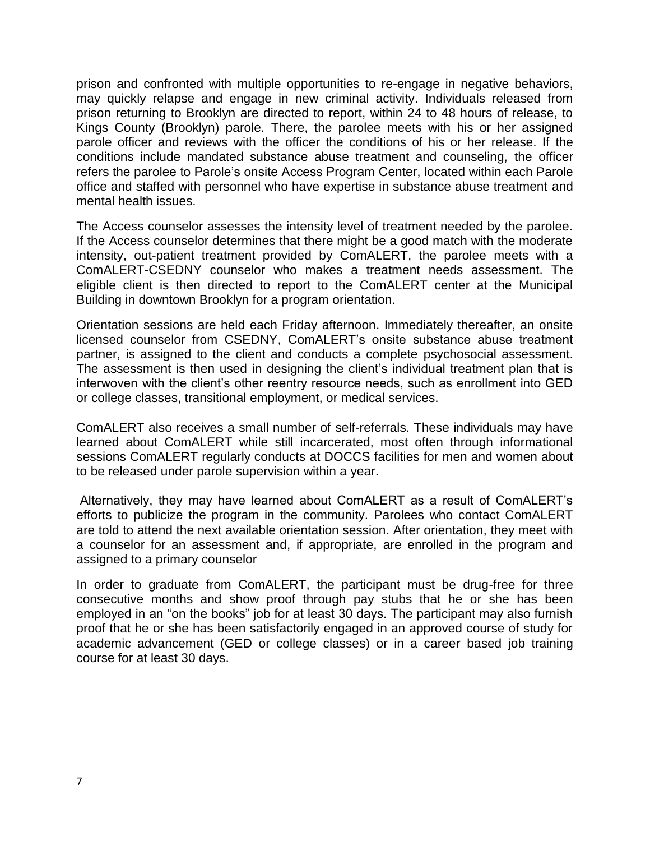prison and confronted with multiple opportunities to re-engage in negative behaviors, may quickly relapse and engage in new criminal activity. Individuals released from prison returning to Brooklyn are directed to report, within 24 to 48 hours of release, to Kings County (Brooklyn) parole. There, the parolee meets with his or her assigned parole officer and reviews with the officer the conditions of his or her release. If the conditions include mandated substance abuse treatment and counseling, the officer refers the parolee to Parole's onsite Access Program Center, located within each Parole office and staffed with personnel who have expertise in substance abuse treatment and mental health issues.

The Access counselor assesses the intensity level of treatment needed by the parolee. If the Access counselor determines that there might be a good match with the moderate intensity, out-patient treatment provided by ComALERT, the parolee meets with a ComALERT-CSEDNY counselor who makes a treatment needs assessment. The eligible client is then directed to report to the ComALERT center at the Municipal Building in downtown Brooklyn for a program orientation.

Orientation sessions are held each Friday afternoon. Immediately thereafter, an onsite licensed counselor from CSEDNY, ComALERT's onsite substance abuse treatment partner, is assigned to the client and conducts a complete psychosocial assessment. The assessment is then used in designing the client's individual treatment plan that is interwoven with the client's other reentry resource needs, such as enrollment into GED or college classes, transitional employment, or medical services.

ComALERT also receives a small number of self-referrals. These individuals may have learned about ComALERT while still incarcerated, most often through informational sessions ComALERT regularly conducts at DOCCS facilities for men and women about to be released under parole supervision within a year.

Alternatively, they may have learned about ComALERT as a result of ComALERT's efforts to publicize the program in the community. Parolees who contact ComALERT are told to attend the next available orientation session. After orientation, they meet with a counselor for an assessment and, if appropriate, are enrolled in the program and assigned to a primary counselor

In order to graduate from ComALERT, the participant must be drug-free for three consecutive months and show proof through pay stubs that he or she has been employed in an "on the books" job for at least 30 days. The participant may also furnish proof that he or she has been satisfactorily engaged in an approved course of study for academic advancement (GED or college classes) or in a career based job training course for at least 30 days.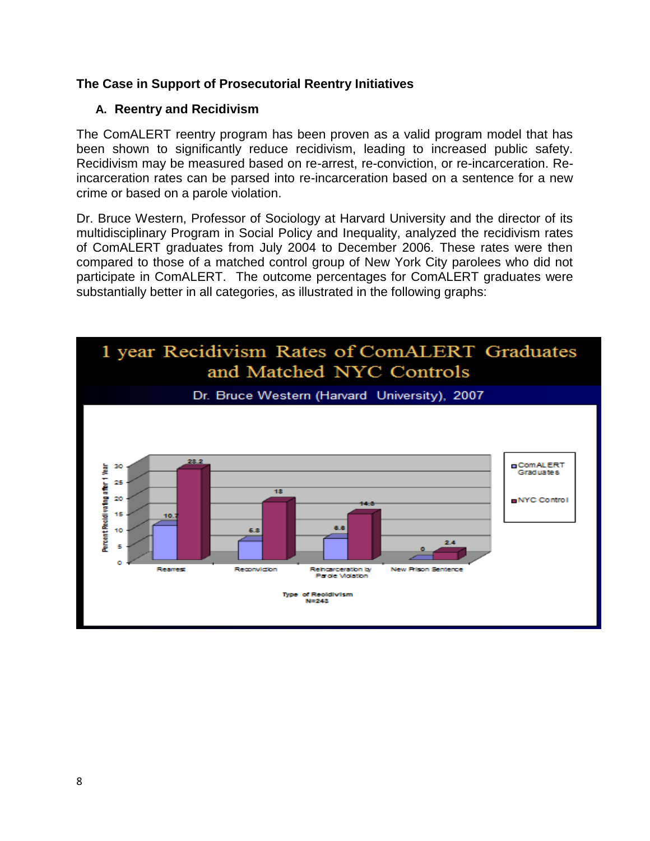## **The Case in Support of Prosecutorial Reentry Initiatives**

#### **A. Reentry and Recidivism**

The ComALERT reentry program has been proven as a valid program model that has been shown to significantly reduce recidivism, leading to increased public safety. Recidivism may be measured based on re-arrest, re-conviction, or re-incarceration. Reincarceration rates can be parsed into re-incarceration based on a sentence for a new crime or based on a parole violation.

Dr. Bruce Western, Professor of Sociology at Harvard University and the director of its multidisciplinary Program in Social Policy and Inequality, analyzed the recidivism rates of ComALERT graduates from July 2004 to December 2006. These rates were then compared to those of a matched control group of New York City parolees who did not participate in ComALERT. The outcome percentages for ComALERT graduates were substantially better in all categories, as illustrated in the following graphs:

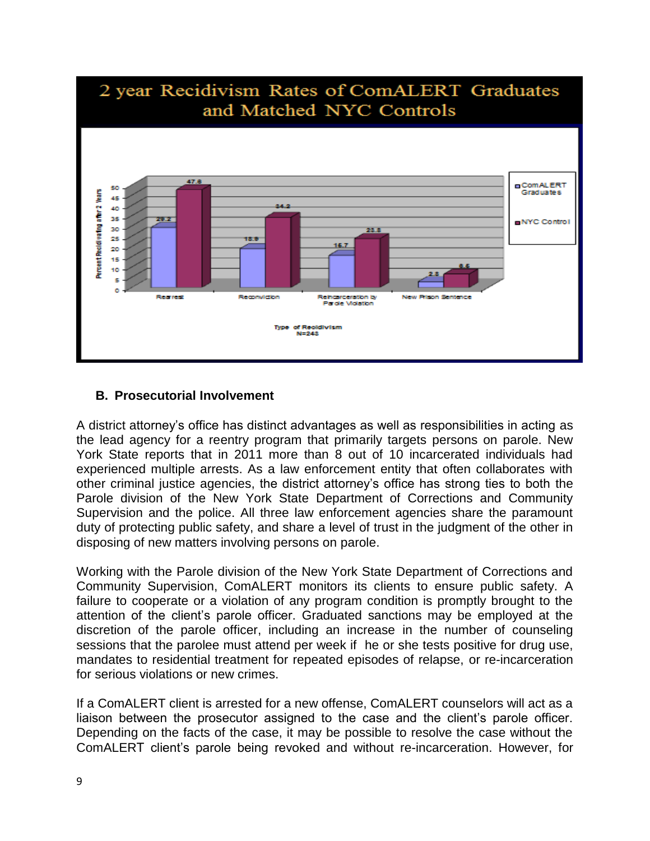

## **B. Prosecutorial Involvement**

A district attorney's office has distinct advantages as well as responsibilities in acting as the lead agency for a reentry program that primarily targets persons on parole. New York State reports that in 2011 more than 8 out of 10 incarcerated individuals had experienced multiple arrests. As a law enforcement entity that often collaborates with other criminal justice agencies, the district attorney's office has strong ties to both the Parole division of the New York State Department of Corrections and Community Supervision and the police. All three law enforcement agencies share the paramount duty of protecting public safety, and share a level of trust in the judgment of the other in disposing of new matters involving persons on parole.

Working with the Parole division of the New York State Department of Corrections and Community Supervision, ComALERT monitors its clients to ensure public safety. A failure to cooperate or a violation of any program condition is promptly brought to the attention of the client's parole officer. Graduated sanctions may be employed at the discretion of the parole officer, including an increase in the number of counseling sessions that the parolee must attend per week if he or she tests positive for drug use, mandates to residential treatment for repeated episodes of relapse, or re-incarceration for serious violations or new crimes.

If a ComALERT client is arrested for a new offense, ComALERT counselors will act as a liaison between the prosecutor assigned to the case and the client's parole officer. Depending on the facts of the case, it may be possible to resolve the case without the ComALERT client's parole being revoked and without re-incarceration. However, for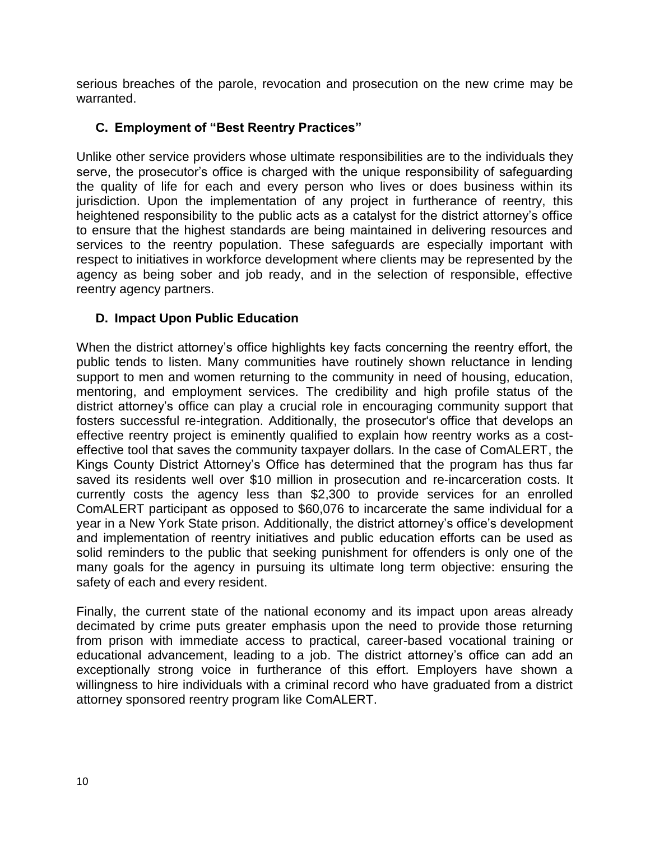serious breaches of the parole, revocation and prosecution on the new crime may be warranted.

# **C. Employment of "Best Reentry Practices"**

Unlike other service providers whose ultimate responsibilities are to the individuals they serve, the prosecutor's office is charged with the unique responsibility of safeguarding the quality of life for each and every person who lives or does business within its jurisdiction. Upon the implementation of any project in furtherance of reentry, this heightened responsibility to the public acts as a catalyst for the district attorney's office to ensure that the highest standards are being maintained in delivering resources and services to the reentry population. These safeguards are especially important with respect to initiatives in workforce development where clients may be represented by the agency as being sober and job ready, and in the selection of responsible, effective reentry agency partners.

## **D. Impact Upon Public Education**

When the district attorney's office highlights key facts concerning the reentry effort, the public tends to listen. Many communities have routinely shown reluctance in lending support to men and women returning to the community in need of housing, education, mentoring, and employment services. The credibility and high profile status of the district attorney's office can play a crucial role in encouraging community support that fosters successful re-integration. Additionally, the prosecutor's office that develops an effective reentry project is eminently qualified to explain how reentry works as a costeffective tool that saves the community taxpayer dollars. In the case of ComALERT, the Kings County District Attorney's Office has determined that the program has thus far saved its residents well over \$10 million in prosecution and re-incarceration costs. It currently costs the agency less than \$2,300 to provide services for an enrolled ComALERT participant as opposed to \$60,076 to incarcerate the same individual for a year in a New York State prison. Additionally, the district attorney's office's development and implementation of reentry initiatives and public education efforts can be used as solid reminders to the public that seeking punishment for offenders is only one of the many goals for the agency in pursuing its ultimate long term objective: ensuring the safety of each and every resident.

Finally, the current state of the national economy and its impact upon areas already decimated by crime puts greater emphasis upon the need to provide those returning from prison with immediate access to practical, career-based vocational training or educational advancement, leading to a job. The district attorney's office can add an exceptionally strong voice in furtherance of this effort. Employers have shown a willingness to hire individuals with a criminal record who have graduated from a district attorney sponsored reentry program like ComALERT.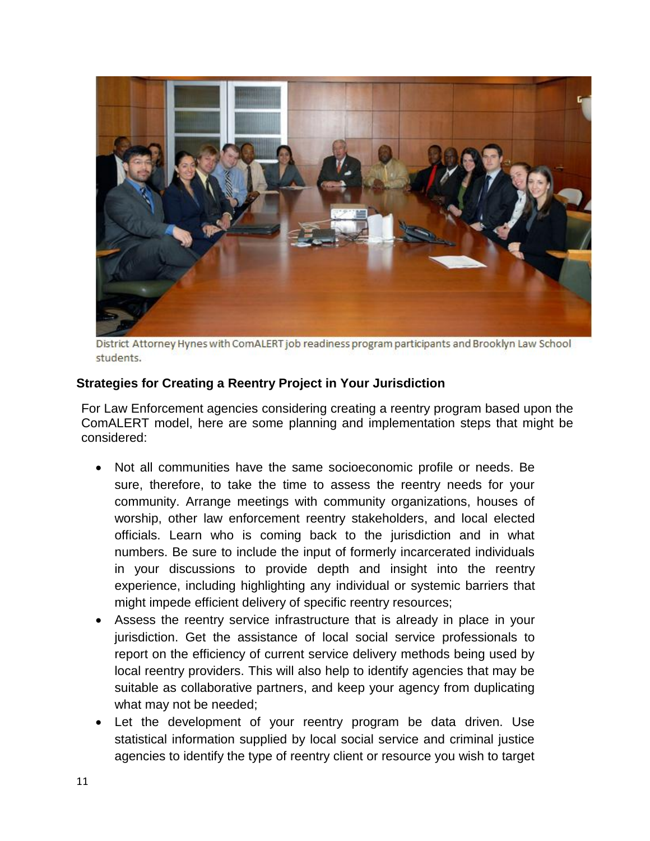

District Attorney Hynes with ComALERT job readiness program participants and Brooklyn Law School students.

#### **Strategies for Creating a Reentry Project in Your Jurisdiction**

For Law Enforcement agencies considering creating a reentry program based upon the ComALERT model, here are some planning and implementation steps that might be considered:

- Not all communities have the same socioeconomic profile or needs. Be sure, therefore, to take the time to assess the reentry needs for your community. Arrange meetings with community organizations, houses of worship, other law enforcement reentry stakeholders, and local elected officials. Learn who is coming back to the jurisdiction and in what numbers. Be sure to include the input of formerly incarcerated individuals in your discussions to provide depth and insight into the reentry experience, including highlighting any individual or systemic barriers that might impede efficient delivery of specific reentry resources;
- Assess the reentry service infrastructure that is already in place in your jurisdiction. Get the assistance of local social service professionals to report on the efficiency of current service delivery methods being used by local reentry providers. This will also help to identify agencies that may be suitable as collaborative partners, and keep your agency from duplicating what may not be needed;
- Let the development of your reentry program be data driven. Use statistical information supplied by local social service and criminal justice agencies to identify the type of reentry client or resource you wish to target